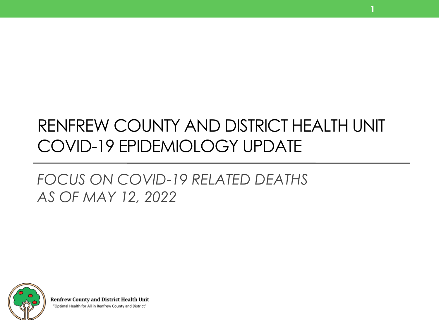# RENFREW COUNTY AND DISTRICT HEALTH UNIT COVID-19 EPIDEMIOLOGY UPDATE

**1**

## *FOCUS ON COVID-19 RELATED DEATHS AS OF MAY 12, 2022*



**Renfrew County and District Health Unit** "Optimal Health for All in Renfrew County and District"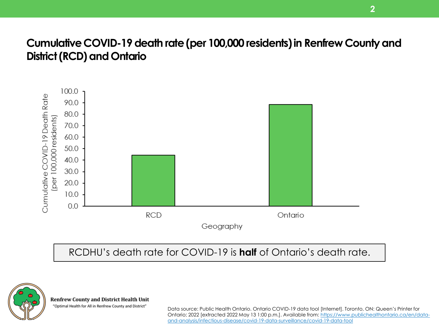### **Cumulative COVID-19 death rate (per 100,000 residents) in Renfrew County and District (RCD) and Ontario**



RCDHU's death rate for COVID-19 is **half** of Ontario's death rate.



**Renfrew County and District Health Unit** 

"Optimal Health for All in Renfrew County and District"

Data source: Public Health Ontario. Ontario COVID-19 data tool [Internet]. Toronto, ON: Queen's Printer for [Ontario; 2022 \[extracted 2022 May 13 1:00 p.m.\]. Available from: https://www.publichealthontario.ca/en/data](https://www.publichealthontario.ca/en/data-and-analysis/infectious-disease/covid-19-data-surveillance/covid-19-data-tool)and-analysis/infectious-disease/covid-19-data-surveillance/covid-19-data-tool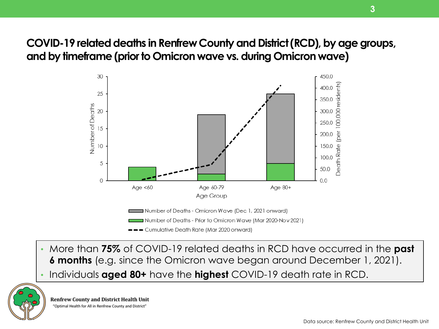## **COVID-19 related deaths in Renfrew County and District (RCD), by age groups, and by timeframe (prior to Omicron wave vs. during Omicron wave)**



--Cumulative Death Rate (Mar 2020 onward)

- More than **75%** of COVID-19 related deaths in RCD have occurred in the **past 6 months** (e.g. since the Omicron wave began around December 1, 2021).
- Individuals **aged 80+** have the **highest** COVID-19 death rate in RCD.



**3**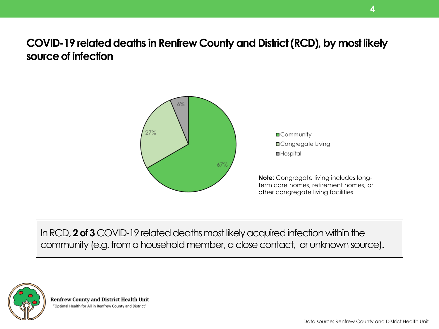**COVID-19 related deaths in Renfrew County and District (RCD), by most likely source of infection**



In RCD, **2 of 3** COVID-19 related deaths most likely acquired infection within the community (e.g. from a household member, a close contact, or unknown source).



**Renfrew County and District Health Unit** "Optimal Health for All in Renfrew County and District"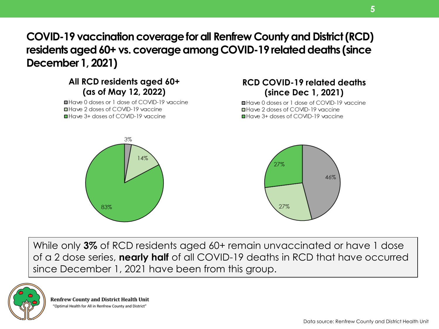## **COVID-19 vaccination coverage for all Renfrew County and District (RCD) residents aged 60+ vs. coverage among COVID-19 related deaths (since December 1, 2021)**

#### **All RCD residents aged 60+ (as of May 12, 2022)**

■Have 0 doses or 1 dose of COVID-19 vaccine **■Have 2 doses of COVID-19 vaccine** ■ Have 3+ doses of COVID-19 vaccine

#### **RCD COVID-19 related deaths (since Dec 1, 2021)**

■Have 0 doses or 1 dose of COVID-19 vaccine ■ Have 2 doses of COVID-19 vaccine ■ Have 3+ doses of COVID-19 vaccine



While only **3%** of RCD residents aged 60+ remain unvaccinated or have 1 dose of a 2 dose series, **nearly half** of all COVID-19 deaths in RCD that have occurred since December 1, 2021 have been from this group.